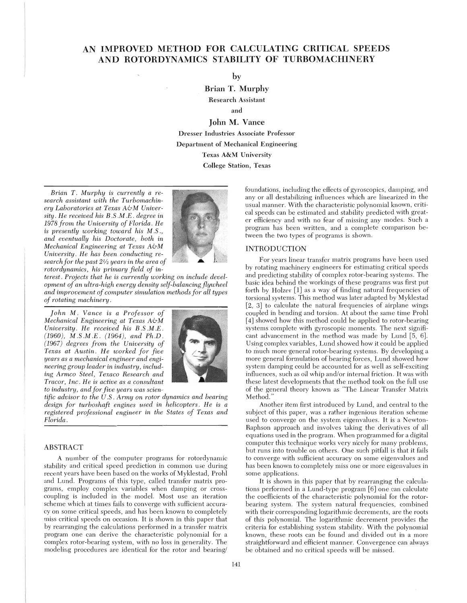# AN IMPROVED METHOD FOR CALCULATING CRITICAL SPEEDS AND ROTORDYNAMICS STABILITY OF TURBOMACHINERY

by

Brian T. Murphy Research Assistant and John M. Vance Dresser Iridustries Associate Professor

Department of Mechanical Engineering

Texas A&M University

College Station, Texas

*Brian T. Murphy* is *currently a research assistant with the Turbomachinery Laboratories at Texas A&M University. He received his* B *,S.M.E. degree in 1978 from the University of Florida. He*  is *presently working toward his M.S., and eventually his Doctorate, both in Mechanical Engineering at Texas A&M University. He has been conducting research for the past* 21/2 *years in the area of rotordynamics, his primary field of in-*



*terest. Projects that he* is *currently working on include development of an ultra-high energy density self-balancing flywheel and improvement of computer simulation methods for all types of rotating machinery.* 

*John* M. *Vance* is *a Professor of Mechanical Engineering at Texas A&M University . He received his B.S.M.E. (1960), M.S.M.E.* (1964), *and Ph.D. (1967) degrees from the University of Texas at Austin. He worked for five years as a mechanical engineer and engineering group leader in industry, including Armco Steel, Texaco Research and Tracor, InC. He* is *active as a consultant to industry, and for five years was scien-*



*tific advisor to the U.S. Army on rotor dynamics and bearing design for turboshaft engines used in helicopters. He* is *a registered professional engineer in the States of Texas and Florida.* 

## ABSTRACT

A number of the computer programs for rotordynamic stability and critical speed prediction in common use during recent years have been based on the works of Myklestad, Prohl and Lund. Programs of this type, called transfer matrix programs, employ complex variables when damping or crosscoupling is included in the model. Most use an iteration scheme which at times fails to converge with sufficient accuracy on some critical speeds, and has been known to completely miss critical speeds on occasion. It is shown in this paper that by rearranging the calculations performed in a transfer matrix program one can derive the characteristic polynomial for a complex rotor-bearing system, with no loss in generality. The modeling procedures are identical for the rotor and bearing/

foundations, including the effects of gyroscopics, damping, and any or all destabilizing influences which are linearized in the usual manner. With the characteristic polynomial known, critical speeds can be estimated and stability predicted with greater efficiency and with no fear of missing any modes. Such a program has been written, and a complete comparison between the two types of programs is shown.

## INTRODUCTION

For years linear transfer matrix programs have been used by rotating machinery engineers for estimating critical speeds and predicting stability of complex rotor-bearing systems. The basic idea behind the workings of these programs was first put forth by Holzer [1] as a way of finding natural frequencies of torsional systems. This method was later adapted by Myklestad [2, 3] to calculate the natural frequencies of airplane wings coupled in bending and torsion. At about the same time Prohl [4] showed how this method could be applied to rotor-bearing systems complete with gyroscopic moments. The next significant advancement in the method was made by Lund [5, 6]. Using complex variables, Lund showed how it could be applied to much more general rotor-bearing systems. By developing a more general formulation of bearing forces, Lund showed how system damping could be accounted for as well as self-exciting influences, such as oil whip and/or internal friction. It was with these latest developments that the method took on the full use of the general theory known as "The Linear Transfer Matrix Method."

Another item first introduced by Lund, and central to the subject of this paper, was a rather ingenious iteration scheme used to converge on the system eigenvalues. It is a Newton-Raphson approach and involves taking the derivatives of all equations used in the program. When programmed for a digital computer this technique works very nicely for many problems, but runs into trouble on others. One such pitfall is that it fails to converge with sufficient accuracy on some eigenvalues and has been known to completely miss one or more eigenvalues in some applications.

It is shown in this paper that by rearranging the calculations performed in a Lund-type program [6] one can calculate the coefficients of the characteristic polynomial for the rotorbearing system. The system natural frequencies, combined with their corresponding logarithmic decrements, are the roots of this polynomial. The logarithmic decrement provides the criteria for establishing system stability. With the polynomial known, these roots can be found and divided out in a more straightforward and efficient manner. Convergence can always be obtained and no critical speeds will be missed.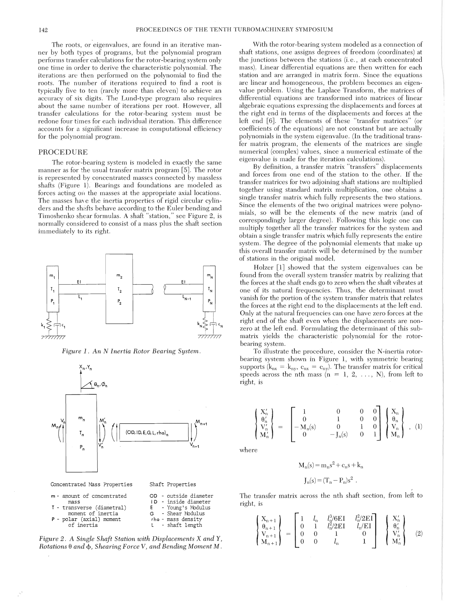The roots, or eigenvalues, are found in an iterative manner by both types of programs, but the polynomial program performs transfer calculations for the rotor-bearing system only one time in order to derive the characteristic polynomial. The iterations are then performed on the polynomial to find the roots. The number of iterations required to find a root is typically five to ten (rarely more than eleven) to achieve an accuracy of six digits, The Lund-type program also requires about the same number of iterations per root. However, all transfer calculations for the rotor-bearing system must be redone four times for each individual iteration. This difference accounts for a significant increase in computational efficiency for the polynomial program,

#### **PROCEDURE**

The rotor-bearing system is modeled in exactly the same manner as for the usual transfer matrix program [5]. The rotor is represented by concentrated masses connected by massless shafts (Figure 1), Bearings and foundations are modeled as forces acting on the masses at the appropriate axial locations. The masses have the inertia properties of rigid circular cylinders and the shafts behave according to the Euler bending and Timoshenko shear formulas, A shaft "station," see Figure 2, is normally considered to consist of a mass plus the shaft section immediately to its right.



*Figure* 1, *An N Inertia Rotor Bearing System,* 





*Figure* 2, A *Single Shaft Station with Displacements* X *and* Y, *Rotations*  $\theta$  *and*  $\phi$ *, Shearing Force V, and Bending Moment M.* 

With the rotor-bearing system modeled as a connection of shaft stations, one assigns degrees of freedom (coordinates) at the junctions between the stations (i.e., at each concentrated mass), Linear differential equations are then written for each station and are arranged in matrix form, Since the equations are linear and homogeneous, the problem becomes an eigenvalue problem, Using the Laplace Transform, the matrices of differential equations are transformed into matrices of linear algebraic equations expressing the displacements and forces at the right end in terms of the displacements and forces at the left end [6]. The elements of these "transfer matrices" (or coefficients of the equations) are not constant but are actually polynomials in the system eigenvalue , (In the traditional transfer matrix program, the elements of the matrices are single numerical (complex) values, since a numerical estimate of the eigenvalue is made for the iteration calculations),

 $\mathcal{L}$ 

I

By definition, a transfer matrix "transfers" displacements and forces from one end of the station to the other. **If** the transfer matrices for two adjoining shaft stations are multiplied together using standard matrix multiplication, one obtains a single transfer matrix which fully represents the two stations, Since the elements of the two original matrices were polynomials, so will be the elements of the new matrix (and of correspondingly larger degree). Following this logic one can multiply together all the transfer matrices for the system and obtain a single transfer matrix which fully represents the entire system, The degree of the polynomial elements that make up this overall transfer matrix will be determined by the number of stations in the original model,

Holzer [1] showed that the system eigenvalues can be found from the overall system transfer matrix by realizing that the forces at the shaft ends go to zero when the shaft vibrates at one of its natural frequencies, Thus, the determinant must vanish for the portion of the system transfer matrix that relates the forces at the right end to the displacements at the left end, Only at the natural frequencies can one have zero forces at the right end of the shaft even when the displacements are nonzero at the left end, Formulating the determinant of this submatrix yieids the characteristic polynomial for the rotorbearing system,

To illustrate the procedure, consider the N-inertia rotorbearing system shown in Figure 1, with symmetric bearing supports ( $k_{nx} = k_{ny}$ ,  $c_{nx} = c_{ny}$ ). The transfer matrix for critical speeds across the nth mass  $(n = 1, 2, ..., N)$ , from left to right, is

$$
\left\{\begin{array}{c} X_n' \\ \theta_n' \\ Y_n' \\ M_n' \\ \end{array}\right\} \hspace{.7cm} = \hspace{.7cm} \left[\begin{array}{cccc} 1 & 0 & 0 & 0 \\ 0 & 1 & 0 & 0 \\ -M_n(s) & 0 & 1 & 0 \\ 0 & -J_n(s) & 0 & 1 \\ \end{array}\right] \left\{\begin{array}{c} X_n \\ \theta_n \\ V_n \\ M_n \\ \end{array}\right\} \hspace{.7cm}, \hspace{.7cm} (1)
$$

where

$$
M_n(s) = m_n s^2 + c_n s + k_n
$$
  

$$
J_n(s) = (T_n - P_n) s^2.
$$

The transfer matrix across the nth shaft section, from left to right, is

$$
\begin{Bmatrix} X_{n+1} \\ \theta_{n+1} \\ V_{n+1} \\ M_{n+1} \end{Bmatrix} = \begin{bmatrix} 1 & l_n & l_0^3/6 \text{EI} & l_n^2/2 \text{EI} \\ 0 & 1 & l_n^2/2 \text{EI} & l_n/ \text{EI} \\ 0 & 0 & 1 & 0 \\ 0 & 0 & l_n & 1 \end{bmatrix} \begin{Bmatrix} X'_n \\ \theta'_n \\ Y'_n \\ W'_n \end{Bmatrix}
$$
 (2)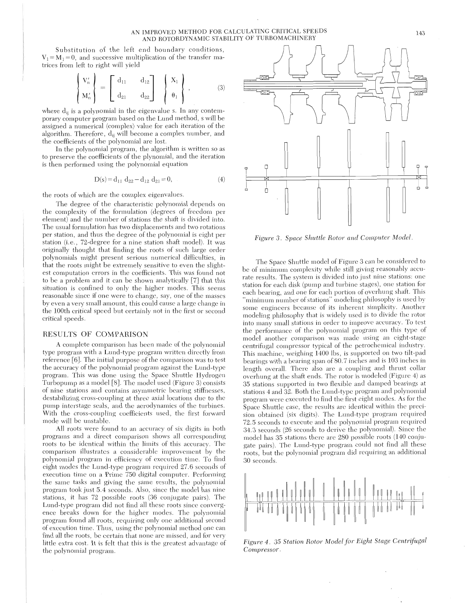#### AN IMPROVED METHOD FOR CALCULATING CRITICAL SPEEDS AND ROTORDYNAMIC STABILITY OF TURBOMACHINERY

Substitution of the left end boundary conditions,  $V_1 = M_1 = 0$ , and successive multiplication of the transfer matrices from left to right will yield

$$
\begin{Bmatrix}\nV'_n \\
M'_n \\
M'_n\n\end{Bmatrix} = \begin{bmatrix}\nd_{11} & d_{12} \\
d_{21} & d_{22}\n\end{bmatrix} \begin{Bmatrix}\nX_1 \\
\theta_1\n\end{Bmatrix},
$$
\n(3)

where  $d_{ii}$  is a polynomial in the eigenvalue s. In any contemporary computer program based on the Lund method, s will be assigned a numerical (complex) value for each iteration of the algorithm. Therefore,  $d_{ii}$  will become a complex number, and the coefficients of the polynomial are lost.

In the polynomial program, the algorithm is written so as to preserve the coefficients of the plynomial, and the iteration is then performed using the polynomial equation

$$
D(s) = d_{11} d_{22} - d_{12} d_{21} = 0,
$$
 (4)

the roots of which are the complex eigenvalues.

The degree of the characteristic polynomial depends on the complexity of the formulation (degrees of freedom per element) and the number of stations the shaft is divided into. The usual formulation has two displacements and two rotations per station, and thus the degree of the polynomial is eight per station (i.e., 72-degree for a nine station shaft model). It was originally thought that finding the roots of such large order polynomials might present serious numerical difficulties, in that the roots might be extremely sensitive to even the slightest computation errors in the coefficients. This was found not to be a problem and it can be shown analytically [7] that this situation is confined to only the higher modes. This seems reasonable since if one were to change, say, one of the masses by even a very small amount, this could cause a large changc in the 100th critical speed but certainly not in the first or second critical speeds.

# RESULTS OF COMPARISON

A complete comparison has been made of the polynomial type program with a Lund-typc program written directly from reference [6]. The initial purpose of the comparison was to test the accuracy of the polynomial program against thc Lund-type program. This was done using the Space Shuttle Hydrogen Turbopump as a model [8]. The model used (Figure 3) consists of nine stations and contains asymmetric bearing stiffnesses, destabilizing cross-coupling at three axial locations due to the pump interstage seals, and the aerodynamics of the turbines. With the cross-coupling coefficients used, the first forward mode will be unstable.

All roots were found to an accuracy of six digits in both programs and a direct comparison shows all corrcsponding roots to be idcntical within the limits of this accuracy. The comparison illustrates a considerable improvement by the polynomial program in efficiency of execution time. To find eight modes the Lund-type program required 27.6 seconds of execution time on a Prime 750 digital computer. Performing the same tasks and giving the same results, the polynomial program took just 5.4 seconds. Also, since the model has nine stations, it has 72 possible roots (36 conjugate pairs). The Lund-type program did not find all these roots since convergence breaks down for the higher modes. The polynomial program found all roots, requiring only one additional second of execution time. Thus, using the polynomial method one can find all the roots, be certain that none are missed, and for very little extra cost. It is felt that this is the greatest advantage of the polynomial program.



*Figure* 3. *Space Shuttle Rotor and Computer Model.* 

The Space Shuttle model of Figure 3 can be considered to be of minimum complexity while still giving reasonably accurate results. The svstem is divided into just nine stations: one station for each disk (pump and turbine stages), one station for each bearing, and one for each portion of overhung shaft. This "minimum number of stations" modeling philosophv is used hy some engineers because of its inherent simplicity. Another modeling philosophy that is widely used is to divide the rotor into manv small stations in order to improve accuracy. To test the performance of the polynomial program on this type of model another comparison was made using an eight-stage centrifugal compressor typical of the petrochemical industry. This machine, weighing 1400 Ibs, is supported on two tilt-pad bearings with a bearing span of 80. 7 inches and is 103 inches in length overall. There also are a coupling and thrust collar overhung at the shaft ends. The rotor is modeled (Figure 4) as 35 stations supported in two flexible and damped bearings at stations 4 and 32. Both the Lund-type program and polynomial program were executed to find the first eight modes. As for the Space Shuttle case, the results are identical within the precision obtained (six digits). The Lund-type program required 72.5 seconds to execute and the polynomial program required 34.3 seconds (26 seconds to derive the polynomial). Since the model has 35 stations there are 280 possible roots (140 conjugate pairs). The Lund-type program could not find all these roots, hut the polynomial program did requiring an additional 30 seconds.



*Figure* 4. 35 *Station Rotor Model for Eight Stage Centrifugal Compressor.*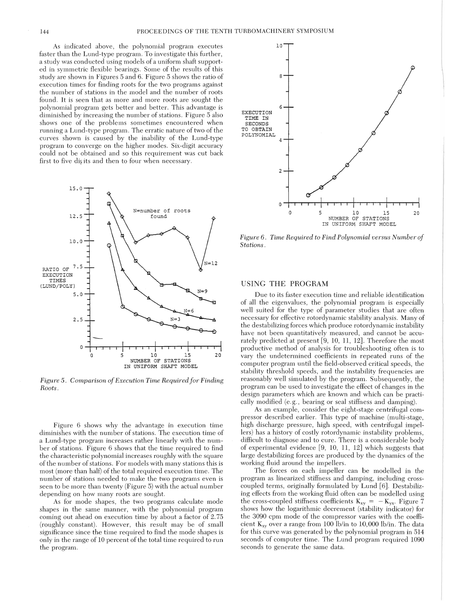As indicated above, the polynomial program executes faster than the Lund-type program. To investigate this further, a study was conducted using models of a uniform shaft supported in symmetric flexible bearings. Some of the results of this study are shown in Figures 5 and 6. Figure 5 shows the ratio of execution times for finding roots for the two programs against the number of stations in the model and the number of roots found. It is seen that as more and more roots are sought the polynomial program gets better and better. This advantage is diminished by increasing the number of stations. Figure 5 also shows one of the problems sometimes encountered when running a Lund-type program. The erratic nature of two of the curves shown is caused by the inability of the Lund-type program to converge on the higher modes. Six-digit accuracy could not be obtained and so this requirement was cut back first to five digits and then to four when necessary.



*Figure* 5. *Comparison of Execution Time Requiredfor Finding Roots.* 

Figure 6 shows why the advantage in execution time diminishes with the number of stations. The execution time of a Lund-type program increases rather linearly with the number of stations. Figure 6 shows that the time required to find the characteristic polynomial increases roughly with the square of the number of stations. For models with many stations this is most (more than half) of the total required execution time . The number of stations needed to make the two programs even is seen to be more than twenty (Figure 5) with the actual number depending on how many roots are sought.

As for mode shapes, the two programs calculate mode shapes in the same manner, with the polynomial program coming out ahead on execution time by about a factor of 2.75 (roughly constant). However, this result may be of small significance since the time required to find the mode shapes is only in the range of 10 percent of the total time required to run the program.



*Figure* 6. *Time Required to Find Polynomial versus Number of Stations.* 

## USING **THE** PROGRAM

Due to its faster execution time and reliable identification of all the eigenvalues, the polynomial program is especially well suited for the type of parameter studies that are often necessary for effective rotordynamic stability analysis. Many of the destabilizing forces which produce rotordynamic instability have not been quantitatively measured, and cannot be accurately predicted at present [9, 10, 11, 12]. Therefore the most productive method of analysis for troubleshooting often is to vary the undetermined coefficients in repeated runs of the computer program until the field-observed critical speeds, the stability threshold speeds, and the instability frequencies are reasonably well simulated by the program. Subsequently, the program can be used to investigate the effect of changes in the design parameters which are known and which can be practically modified (e.g., bearing or seal stiffness and damping).

As an example, consider the eight-stage centrifugal compressor described earlier. This type of machine (multi-stage, high discharge pressure, high speed, with centrifugal impellers) has a history of costly rotordynamic instability problems, difficult to diagnose and to cure. There is a considerable body of experimental evidence [9, 10, 11, 12] which suggests that large destabilizing forces are produced by the dynamics of the working fluid around the impellers.

The forces on each impeller can be modelled in the program as linearized stiffness and damping, including crosscoupled terms, originally formulated by Lund [6]. Destabilizing effects from the working fluid often can be modelled using the cross-coupled stiffness coefficients  $K_{xy} = -K_{yx}$ . Figure 7 shows how the logarithmic decrement (stability indicator) fot the 3090 cpm mode of the compressor varies with the coefficient  $K_{xy}$  over a range from 100 lb/in to 10,000 lb/in. The data for this curve was generated by the polynomial program in 514 seconds of computer time. The Lund program required 1090 seconds to generate the same data.